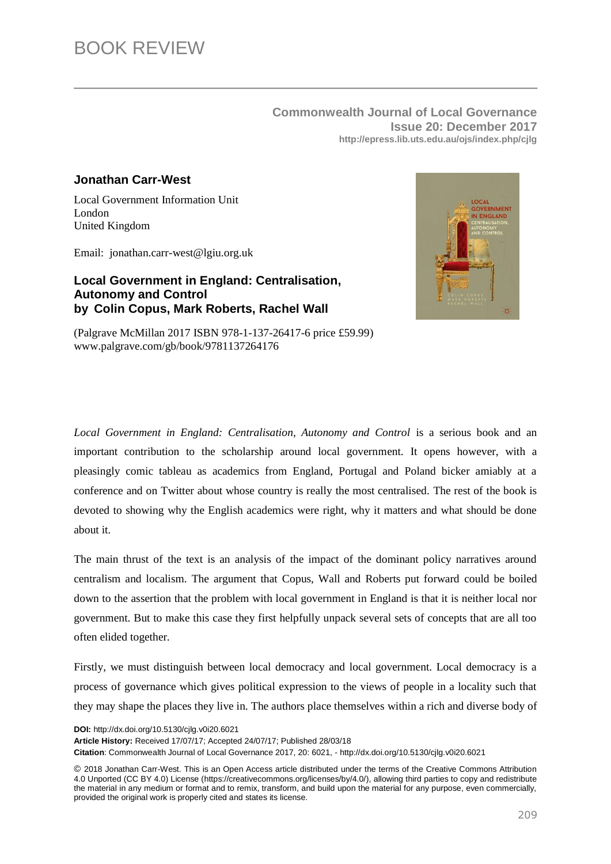**Commonwealth Journal of Local Governance Issue 20: December 2017 http://epress.lib.uts.edu.au/ojs/index.php/cjlg**

## **Jonathan Carr-West**

Local Government Information Unit London United Kingdom

Email: jonathan.carr-west@lgiu.org.uk

## **Local Government in England: Centralisation, Autonomy and Control by Colin Copus, Mark Roberts, Rachel Wall**



(Palgrave McMillan 2017 ISBN 978-1-137-26417-6 price £59.99) [www.palgrave.com/gb/book/9781137264176](http://www.palgrave.com/gb/book/9781137264176)

*Local Government in England: Centralisation, Autonomy and Control* is a serious book and an important contribution to the scholarship around local government. It opens however, with a pleasingly comic tableau as academics from England, Portugal and Poland bicker amiably at a conference and on Twitter about whose country is really the most centralised. The rest of the book is devoted to showing why the English academics were right, why it matters and what should be done about it.

The main thrust of the text is an analysis of the impact of the dominant policy narratives around centralism and localism. The argument that Copus, Wall and Roberts put forward could be boiled down to the assertion that the problem with local government in England is that it is neither local nor government. But to make this case they first helpfully unpack several sets of concepts that are all too often elided together.

Firstly, we must distinguish between local democracy and local government. Local democracy is a process of governance which gives political expression to the views of people in a locality such that they may shape the places they live in. The authors place themselves within a rich and diverse body of

**DOI:** http://dx.doi.org/10.5130/cjlg.v0i20.6021

**Article History:** Received 17/07/17; Accepted 24/07/17; Published 28/03/18

**Citation**: Commonwealth Journal of Local Governance 2017, 20: 6021, - http://dx.doi.org/10.5130/cjlg.v0i20.6021

<sup>©</sup> 2018 Jonathan Carr-West. This is an Open Access article distributed under the terms of the Creative Commons Attribution 4.0 Unported (CC BY 4.0) License (https://creativecommons.org/licenses/by/4.0/), allowing third parties to copy and redistribute the material in any medium or format and to remix, transform, and build upon the material for any purpose, even commercially, provided the original work is properly cited and states its license.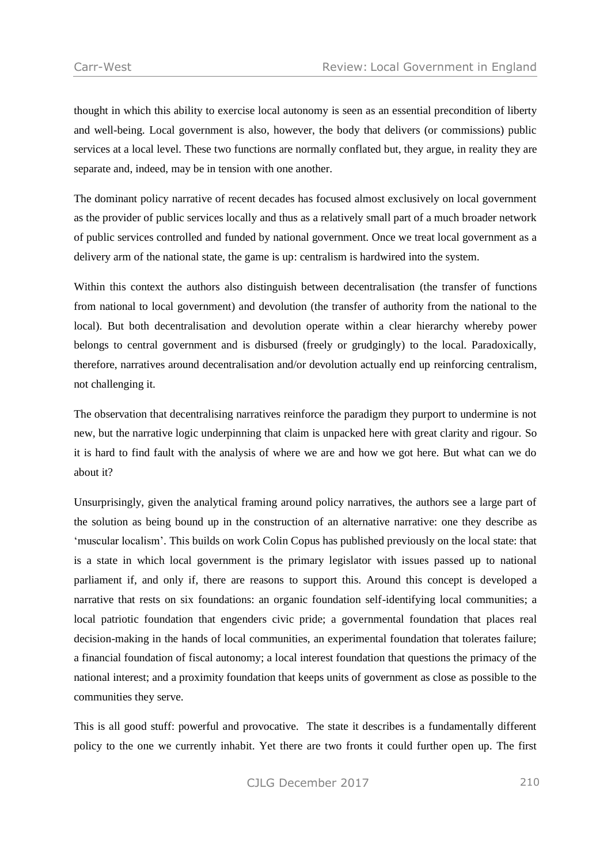thought in which this ability to exercise local autonomy is seen as an essential precondition of liberty and well-being. Local government is also, however, the body that delivers (or commissions) public services at a local level. These two functions are normally conflated but, they argue, in reality they are separate and, indeed, may be in tension with one another.

The dominant policy narrative of recent decades has focused almost exclusively on local government as the provider of public services locally and thus as a relatively small part of a much broader network of public services controlled and funded by national government. Once we treat local government as a delivery arm of the national state, the game is up: centralism is hardwired into the system.

Within this context the authors also distinguish between decentralisation (the transfer of functions from national to local government) and devolution (the transfer of authority from the national to the local). But both decentralisation and devolution operate within a clear hierarchy whereby power belongs to central government and is disbursed (freely or grudgingly) to the local. Paradoxically, therefore, narratives around decentralisation and/or devolution actually end up reinforcing centralism, not challenging it.

The observation that decentralising narratives reinforce the paradigm they purport to undermine is not new, but the narrative logic underpinning that claim is unpacked here with great clarity and rigour. So it is hard to find fault with the analysis of where we are and how we got here. But what can we do about it?

Unsurprisingly, given the analytical framing around policy narratives, the authors see a large part of the solution as being bound up in the construction of an alternative narrative: one they describe as 'muscular localism'. This builds on work Colin Copus has published previously on the local state: that is a state in which local government is the primary legislator with issues passed up to national parliament if, and only if, there are reasons to support this. Around this concept is developed a narrative that rests on six foundations: an organic foundation self-identifying local communities; a local patriotic foundation that engenders civic pride; a governmental foundation that places real decision-making in the hands of local communities, an experimental foundation that tolerates failure; a financial foundation of fiscal autonomy; a local interest foundation that questions the primacy of the national interest; and a proximity foundation that keeps units of government as close as possible to the communities they serve.

This is all good stuff: powerful and provocative. The state it describes is a fundamentally different policy to the one we currently inhabit. Yet there are two fronts it could further open up. The first